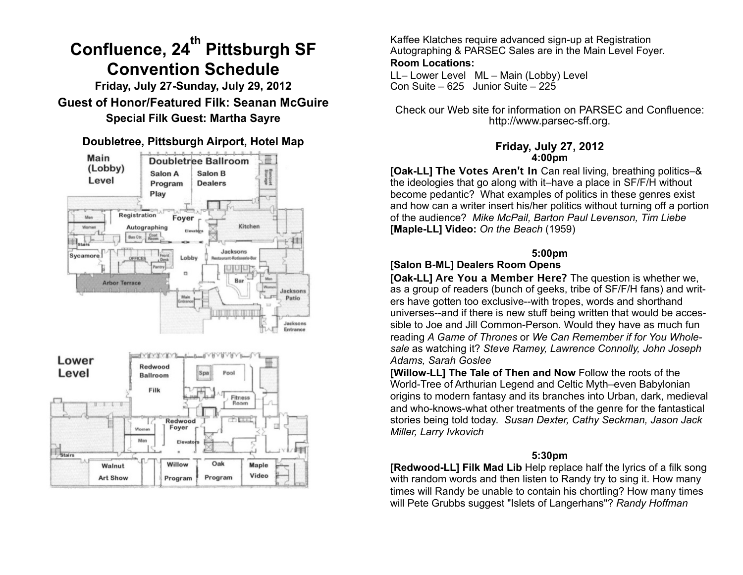# **Confluence, 24th Pittsburgh SF Convention Schedule**

**Friday, July 27-Sunday, July 29, 2012 Guest of Honor/Featured Filk: Seanan McGuire Special Filk Guest: Martha Sayre**

**Doubletree, Pittsburgh Airport, Hotel Map**



Kaffee Klatches require advanced sign-up at Registration Autographing & PARSEC Sales are in the Main Level Foyer. **Room Locations:**

LL– Lower Level ML – Main (Lobby) Level Con Suite – 625 Junior Suite – 225

Check our Web site for information on PARSEC and Confluence: http://www.parsec-sff.org.

#### **Friday, July 27, 2012 4:00pm**

**[Oak-LL] The Votes Aren't In** Can real living, breathing politics–& the ideologies that go along with it–have a place in SF/F/H without become pedantic? What examples of politics in these genres exist and how can a writer insert his/her politics without turning off a portion of the audience? *Mike McPail, Barton Paul Levenson, Tim Liebe* **[Maple-LL] Video:** *On the Beach* (1959)

# **5:00pm**

# **[Salon B-ML] Dealers Room Opens**

**[Oak-LL] Are You a Member Here?** The question is whether we, as a group of readers (bunch of geeks, tribe of SF/F/H fans) and writers have gotten too exclusive--with tropes, words and shorthand universes--and if there is new stuff being written that would be accessible to Joe and Jill Common-Person. Would they have as much fun reading *A Game of Thrones* or *We Can Remember if for You Wholesale* as watching it? *Steve Ramey, Lawrence Connolly, John Joseph Adams, Sarah Goslee*

**[Willow-LL] The Tale of Then and Now** Follow the roots of the World-Tree of Arthurian Legend and Celtic Myth–even Babylonian origins to modern fantasy and its branches into Urban, dark, medieval and who-knows-what other treatments of the genre for the fantastical stories being told today. *Susan Dexter, Cathy Seckman, Jason Jack Miller, Larry Ivkovich*

## **5:30pm**

**[Redwood-LL] Filk Mad Lib** Help replace half the lyrics of a filk song with random words and then listen to Randy try to sing it. How many times will Randy be unable to contain his chortling? How many times will Pete Grubbs suggest "Islets of Langerhans"? *Randy Hoffman*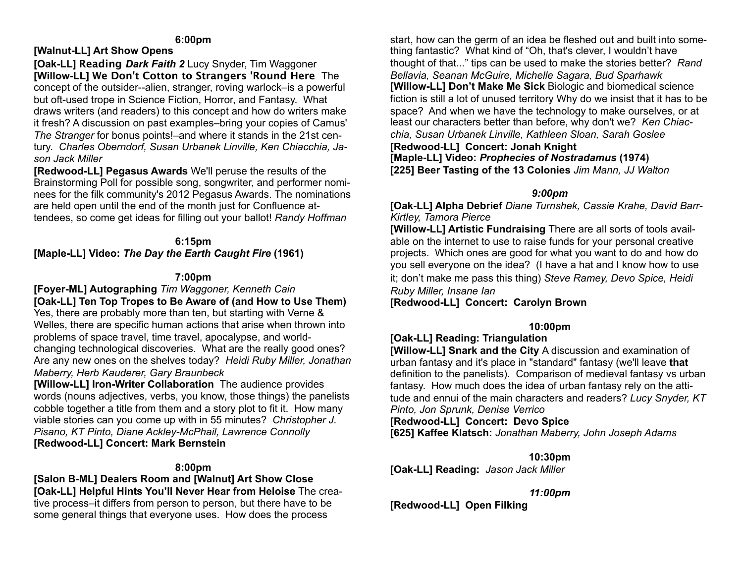#### **6:00pm**

## **[Walnut-LL] Art Show Opens**

**[Oak-LL] Reading** *Dark Faith 2* Lucy Snyder, Tim Waggoner **[Willow-LL] We Don't Cotton to Strangers 'Round Here** The concept of the outsider--alien, stranger, roving warlock–is a powerful but oft-used trope in Science Fiction, Horror, and Fantasy. What draws writers (and readers) to this concept and how do writers make it fresh? A discussion on past examples–bring your copies of Camus' *The Stranger* for bonus points!–and where it stands in the 21st century. *Charles Oberndorf, Susan Urbanek Linville, Ken Chiacchia, Jason Jack Miller* 

**[Redwood-LL] Pegasus Awards** We'll peruse the results of the Brainstorming Poll for possible song, songwriter, and performer nominees for the filk community's 2012 Pegasus Awards. The nominations are held open until the end of the month just for Confluence attendees, so come get ideas for filling out your ballot! *Randy Hoffman*

## **6:15pm [Maple-LL] Video:** *The Day the Earth Caught Fire* **(1961)**

## **7:00pm**

**[Foyer-ML] Autographing** *Tim Waggoner, Kenneth Cain* **[Oak-LL] Ten Top Tropes to Be Aware of (and How to Use Them)**  Yes, there are probably more than ten, but starting with Verne & Welles, there are specific human actions that arise when thrown into problems of space travel, time travel, apocalypse, and worldchanging technological discoveries. What are the really good ones? Are any new ones on the shelves today? *Heidi Ruby Miller, Jonathan Maberry, Herb Kauderer, Gary Braunbeck*

**[Willow-LL] Iron-Writer Collaboration** The audience provides words (nouns adjectives, verbs, you know, those things) the panelists cobble together a title from them and a story plot to fit it. How many viable stories can you come up with in 55 minutes?*Christopher J. Pisano, KT Pinto, Diane Ackley-McPhail, Lawrence Connolly* **[Redwood-LL] Concert: Mark Bernstein**

#### **8:00pm**

**[Salon B-ML] Dealers Room and [Walnut] Art Show Close [Oak-LL] Helpful Hints You'll Never Hear from Heloise** The creative process–it differs from person to person, but there have to be some general things that everyone uses. How does the process

start, how can the germ of an idea be fleshed out and built into something fantastic? What kind of "Oh, that's clever, I wouldn't have thought of that..." tips can be used to make the stories better? *Rand Bellavia, Seanan McGuire, Michelle Sagara, Bud Sparhawk* **[Willow-LL] Don't Make Me Sick** Biologic and biomedical science fiction is still a lot of unused territory Why do we insist that it has to be space? And when we have the technology to make ourselves, or at least our characters better than before, why don't we? *Ken Chiacchia, Susan Urbanek Linville, Kathleen Sloan, Sarah Goslee* **[Redwood-LL] Concert: Jonah Knight [Maple-LL] Video:** *Prophecies of Nostradamus* **(1974) [225] Beer Tasting of the 13 Colonies** *Jim Mann, JJ Walton* 

#### *9:00pm*

**[Oak-LL] Alpha Debrief** *Diane Turnshek, Cassie Krahe, David Barr-Kirtley, Tamora Pierce*

**[Willow-LL] Artistic Fundraising** There are all sorts of tools available on the internet to use to raise funds for your personal creative projects. Which ones are good for what you want to do and how do you sell everyone on the idea? (I have a hat and I know how to use it; don't make me pass this thing) *Steve Ramey, Devo Spice, Heidi Ruby Miller, Insane Ian*

**[Redwood-LL] Concert: Carolyn Brown**

## **10:00pm**

# **[Oak-LL] Reading: Triangulation**

**[Willow-LL] Snark and the City** A discussion and examination of urban fantasy and it's place in "standard" fantasy (we'll leave **that** definition to the panelists). Comparison of medieval fantasy vs urban fantasy. How much does the idea of urban fantasy rely on the attitude and ennui of the main characters and readers? *Lucy Snyder, KT Pinto, Jon Sprunk, Denise Verrico*

**[Redwood-LL] Concert: Devo Spice**

**[625] Kaffee Klatsch:** *Jonathan Maberry, John Joseph Adams*

**10:30pm** 

**[Oak-LL] Reading:** *Jason Jack Miller* 

*11:00pm* 

**[Redwood-LL] Open Filking**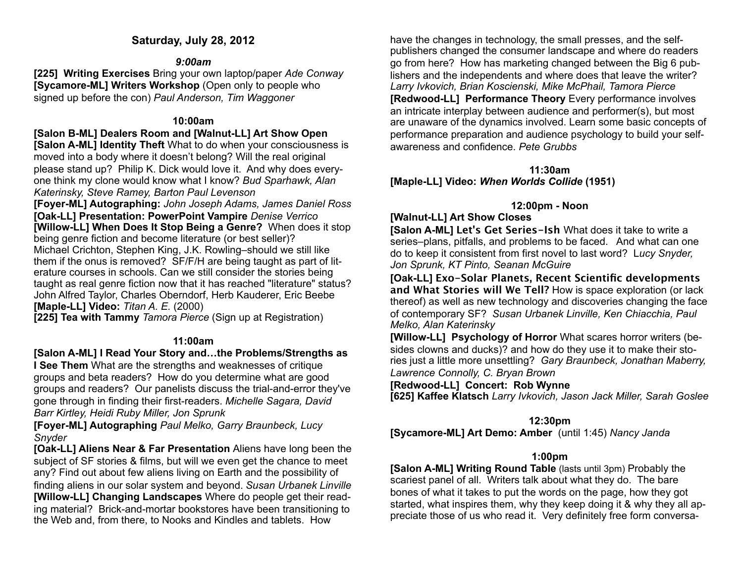## **Saturday, July 28, 2012**

## *9:00am*

**[225] Writing Exercises** Bring your own laptop/paper *Ade Conway* **[Sycamore-ML] Writers Workshop** (Open only to people who signed up before the con) *Paul Anderson, Tim Waggoner*

## **10:00am**

**[Salon B-ML] Dealers Room and [Walnut-LL] Art Show Open [Salon A-ML] Identity Theft** What to do when your consciousness is moved into a body where it doesn't belong? Will the real original please stand up? Philip K. Dick would love it. And why does everyone think my clone would know what I know? *Bud Sparhawk, Alan* 

*Katerinsky, Steve Ramey, Barton Paul Levenson*

**[Foyer-ML] Autographing:** *John Joseph Adams, James Daniel Ross* **[Oak-LL] Presentation: PowerPoint Vampire** *Denise Verrico* **[Willow-LL] When Does It Stop Being a Genre?** When does it stop being genre fiction and become literature (or best seller)? Michael Crichton, Stephen King, J.K. Rowling–should we still like them if the onus is removed? SF/F/H are being taught as part of literature courses in schools. Can we still consider the stories being taught as real genre fiction now that it has reached "literature" status? John Alfred Taylor, Charles Oberndorf, Herb Kauderer, Eric Beebe **[Maple-LL] Video:** *Titan A. E.* (2000)

**[225] Tea with Tammy** *Tamora Pierce* (Sign up at Registration)

## **11:00am**

**[Salon A-ML] I Read Your Story and…the Problems/Strengths as** 

**I See Them** What are the strengths and weaknesses of critique groups and beta readers? How do you determine what are good groups and readers? Our panelists discuss the trial-and-error they've gone through in finding their first-readers. *Michelle Sagara, David Barr Kirtley, Heidi Ruby Miller, Jon Sprunk*

**[Foyer-ML] Autographing** *Paul Melko, Garry Braunbeck, Lucy Snyder*

**[Oak-LL] Aliens Near & Far Presentation** Aliens have long been the subject of SF stories & films, but will we even get the chance to meet any? Find out about few aliens living on Earth and the possibility of finding aliens in our solar system and beyond. *Susan Urbanek Linville* **[Willow-LL] Changing Landscapes** Where do people get their reading material? Brick-and-mortar bookstores have been transitioning to the Web and, from there, to Nooks and Kindles and tablets. How

have the changes in technology, the small presses, and the selfpublishers changed the consumer landscape and where do readers go from here? How has marketing changed between the Big 6 publishers and the independents and where does that leave the writer? *Larry Ivkovich, Brian Koscienski, Mike McPhail, Tamora Pierce* **[Redwood-LL] Performance Theory** Every performance involves an intricate interplay between audience and performer(s), but most are unaware of the dynamics involved. Learn some basic concepts of performance preparation and audience psychology to build your selfawareness and confidence. *Pete Grubbs*

**11:30am [Maple-LL] Video:** *When Worlds Collide* **(1951)**

# **12:00pm - Noon**

## **[Walnut-LL] Art Show Closes**

**[Salon A-ML] Let's Get Series-Ish** What does it take to write a series–plans, pitfalls, and problems to be faced. And what can one do to keep it consistent from first novel to last word? L*ucy Snyder, Jon Sprunk, KT Pinto, Seanan McGuire*

**[Oak-LL] Exo-Solar Planets, Recent Scientific developments and What Stories will We Tell?** How is space exploration (or lack thereof) as well as new technology and discoveries changing the face of contemporary SF? *Susan Urbanek Linville, Ken Chiacchia, Paul Melko, Alan Katerinsky*

**[Willow-LL] Psychology of Horror** What scares horror writers (besides clowns and ducks)? and how do they use it to make their stories just a little more unsettling? *Gary Braunbeck, Jonathan Maberry, Lawrence Connolly, C. Bryan Brown*

**[Redwood-LL] Concert: Rob Wynne**

**[625] Kaffee Klatsch** *Larry Ivkovich, Jason Jack Miller, Sarah Goslee*

# **12:30pm**

**[Sycamore-ML] Art Demo: Amber** (until 1:45) *Nancy Janda*

# **1:00pm**

**[Salon A-ML] Writing Round Table** (lasts until 3pm) Probably the scariest panel of all. Writers talk about what they do. The bare bones of what it takes to put the words on the page, how they got started, what inspires them, why they keep doing it & why they all appreciate those of us who read it. Very definitely free form conversa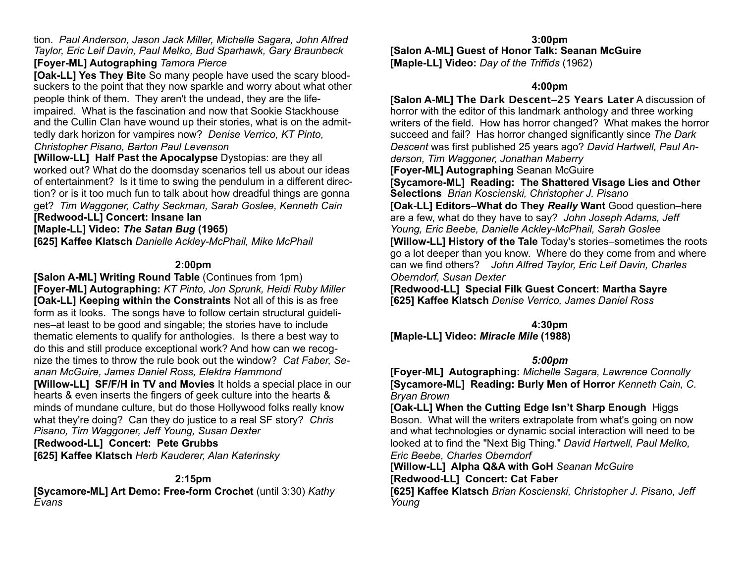tion. *Paul Anderson, Jason Jack Miller, Michelle Sagara, John Alfred Taylor, Eric Leif Davin, Paul Melko, Bud Sparhawk, Gary Braunbeck*

## **[Foyer-ML] Autographing** *Tamora Pierce*

**[Oak-LL] Yes They Bite** So many people have used the scary bloodsuckers to the point that they now sparkle and worry about what other people think of them. They aren't the undead, they are the lifeimpaired. What is the fascination and now that Sookie Stackhouse and the Cullin Clan have wound up their stories, what is on the admittedly dark horizon for vampires now? *Denise Verrico, KT Pinto, Christopher Pisano, Barton Paul Levenson*

**[Willow-LL] Half Past the Apocalypse** Dystopias: are they all worked out? What do the doomsday scenarios tell us about our ideas of entertainment? Is it time to swing the pendulum in a different direction? or is it too much fun to talk about how dreadful things are gonna get? *Tim Waggoner, Cathy Seckman, Sarah Goslee, Kenneth Cain* **[Redwood-LL] Concert: Insane Ian**

## **[Maple-LL] Video:** *The Satan Bug* **(1965)**

**[625] Kaffee Klatsch** *Danielle Ackley-McPhail, Mike McPhail*

#### **2:00pm**

**[Salon A-ML] Writing Round Table** (Continues from 1pm) **[Foyer-ML] Autographing:** *KT Pinto, Jon Sprunk, Heidi Ruby Miller* **[Oak-LL] Keeping within the Constraints** Not all of this is as free form as it looks. The songs have to follow certain structural guidelines–at least to be good and singable; the stories have to include thematic elements to qualify for anthologies. Is there a best way to do this and still produce exceptional work? And how can we recognize the times to throw the rule book out the window? *Cat Faber, Seanan McGuire, James Daniel Ross, Elektra Hammond*

**[Willow-LL] SF/F/H in TV and Movies** It holds a special place in our hearts & even inserts the fingers of geek culture into the hearts & minds of mundane culture, but do those Hollywood folks really know what they're doing? Can they do justice to a real SF story? *Chris Pisano, Tim Waggoner, Jeff Young, Susan Dexter*

**[Redwood-LL] Concert: Pete Grubbs**

**[625] Kaffee Klatsch** *Herb Kauderer, Alan Katerinsky*

#### **2:15pm**

**[Sycamore-ML] Art Demo: Free-form Crochet** (until 3:30) *Kathy Evans*

**3:00pm [Salon A-ML] Guest of Honor Talk: Seanan McGuire [Maple-LL] Video:** *Day of the Triffids* (1962)

#### **4:00pm**

**[Salon A-ML] The Dark Descent**–**25 Years Later** A discussion of horror with the editor of this landmark anthology and three working writers of the field. How has horror changed? What makes the horror succeed and fail? Has horror changed significantly since *The Dark Descent* was first published 25 years ago? *David Hartwell, Paul Anderson, Tim Waggoner, Jonathan Maberry*

**[Foyer-ML] Autographing** Seanan McGuire

**[Sycamore-ML] Reading: The Shattered Visage Lies and Other Selections** *Brian Koscienski, Christopher J. Pisano* **[Oak-LL] Editors**–**What do They** *Really* **Want** Good question–here are a few, what do they have to say? *John Joseph Adams, Jeff Young, Eric Beebe, Danielle Ackley-McPhail, Sarah Goslee*  **[Willow-LL] History of the Tale** Today's stories–sometimes the roots go a lot deeper than you know. Where do they come from and where can we find others? *John Alfred Taylor, Eric Leif Davin, Charles Oberndorf, Susan Dexter*

**[Redwood-LL] Special Filk Guest Concert: Martha Sayre [625] Kaffee Klatsch** *Denise Verrico, James Daniel Ross* 

**4:30pm**

**[Maple-LL] Video:** *Miracle Mile* **(1988)**

## *5:00pm*

**[Foyer-ML] Autographing:** *Michelle Sagara, Lawrence Connolly* **[Sycamore-ML] Reading: Burly Men of Horror** *Kenneth Cain, C. Bryan Brown*

**[Oak-LL] When the Cutting Edge Isn't Sharp Enough** Higgs Boson. What will the writers extrapolate from what's going on now and what technologies or dynamic social interaction will need to be looked at to find the "Next Big Thing." *David Hartwell, Paul Melko, Eric Beebe, Charles Oberndorf* 

**[Willow-LL] Alpha Q&A with GoH** *Seanan McGuire* **[Redwood-LL] Concert: Cat Faber**

**[625] Kaffee Klatsch** *Brian Koscienski, Christopher J. Pisano, Jeff Young*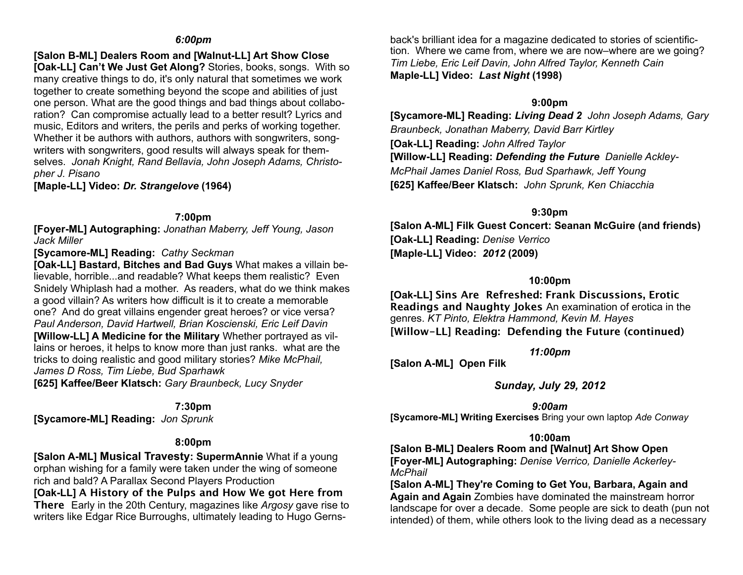#### *6:00pm*

**[Salon B-ML] Dealers Room and [Walnut-LL] Art Show Close**

**[Oak-LL] Can't We Just Get Along?** Stories, books, songs. With so many creative things to do, it's only natural that sometimes we work together to create something beyond the scope and abilities of just one person. What are the good things and bad things about collaboration? Can compromise actually lead to a better result? Lyrics and music, Editors and writers, the perils and perks of working together. Whether it be authors with authors, authors with songwriters, songwriters with songwriters, good results will always speak for themselves. *Jonah Knight, Rand Bellavia, John Joseph Adams, Christopher J. Pisano*

**[Maple-LL] Video:** *Dr. Strangelove* **(1964)**

#### **7:00pm**

**[Foyer-ML] Autographing:** *Jonathan Maberry, Jeff Young, Jason Jack Miller*

## **[Sycamore-ML] Reading:** *Cathy Seckman*

**[Oak-LL] Bastard, Bitches and Bad Guys** What makes a villain believable, horrible...and readable? What keeps them realistic? Even Snidely Whiplash had a mother. As readers, what do we think makes a good villain? As writers how difficult is it to create a memorable one? And do great villains engender great heroes? or vice versa? *Paul Anderson, David Hartwell, Brian Koscienski, Eric Leif Davin*

**[Willow-LL] A Medicine for the Military** Whether portrayed as villains or heroes, it helps to know more than just ranks. what are the tricks to doing realistic and good military stories? *Mike McPhail, James D Ross, Tim Liebe, Bud Sparhawk*

**[625] Kaffee/Beer Klatsch:** *Gary Braunbeck, Lucy Snyder* 

#### **7:30pm**

**[Sycamore-ML] Reading:** *Jon Sprunk*

## **8:00pm**

**[Salon A-ML] Musical Travesty: SupermAnnie** What if a young orphan wishing for a family were taken under the wing of someone rich and bald? A Parallax Second Players Production

**[Oak-LL] A History of the Pulps and How We got Here from There** Early in the 20th Century, magazines like *Argosy* gave rise to writers like Edgar Rice Burroughs, ultimately leading to Hugo Gernsback's brilliant idea for a magazine dedicated to stories of scientifiction. Where we came from, where we are now–where are we going? *Tim Liebe, Eric Leif Davin, John Alfred Taylor, Kenneth Cain* **Maple-LL] Video:** *Last Night* **(1998)**

## **9:00pm**

**[Sycamore-ML] Reading:** *Living Dead 2 John Joseph Adams, Gary Braunbeck, Jonathan Maberry, David Barr Kirtley* **[Oak-LL] Reading:** *John Alfred Taylor* **[Willow-LL] Reading:** *Defending the Future**Danielle Ackley-McPhail James Daniel Ross, Bud Sparhawk, Jeff Young* **[625] Kaffee/Beer Klatsch:** *John Sprunk, Ken Chiacchia* 

## **9:30pm**

**[Salon A-ML] Filk Guest Concert: Seanan McGuire (and friends) [Oak-LL] Reading:** *Denise Verrico* **[Maple-LL] Video:** *2012* **(2009)**

## **10:00pm**

**[Oak-LL] Sins Are Refreshed: Frank Discussions, Erotic Readings and Naughty Jokes** An examination of erotica in the genres. *KT Pinto, Elektra Hammond, Kevin M. Hayes* **[Willow-LL] Reading: Defending the Future (continued)**

*11:00pm* 

**[Salon A-ML] Open Filk**

## *Sunday, July 29, 2012*

*9:00am*  **[Sycamore-ML] Writing Exercises** Bring your own laptop *Ade Conway*

## **10:00am**

**[Salon B-ML] Dealers Room and [Walnut] Art Show Open [Foyer-ML] Autographing:** *Denise Verrico, Danielle Ackerley-McPhail*

**[Salon A-ML] They're Coming to Get You, Barbara, Again and Again and Again** Zombies have dominated the mainstream horror landscape for over a decade. Some people are sick to death (pun not intended) of them, while others look to the living dead as a necessary